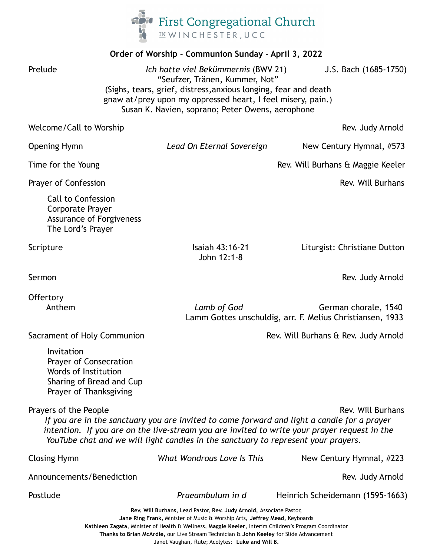

| Order of Worship - Communion Sunday - April 3, 2022                                                                                                                                                                                                                                                                             |                                |                                                                                   |
|---------------------------------------------------------------------------------------------------------------------------------------------------------------------------------------------------------------------------------------------------------------------------------------------------------------------------------|--------------------------------|-----------------------------------------------------------------------------------|
| Prelude<br>Ich hatte viel Bekümmernis (BWV 21)<br>J.S. Bach (1685-1750)<br>"Seufzer, Tränen, Kummer, Not"<br>(Sighs, tears, grief, distress, anxious longing, fear and death<br>gnaw at/prey upon my oppressed heart, I feel misery, pain.)<br>Susan K. Navien, soprano; Peter Owens, aerophone                                 |                                |                                                                                   |
| Welcome/Call to Worship                                                                                                                                                                                                                                                                                                         |                                | Rev. Judy Arnold                                                                  |
| Opening Hymn                                                                                                                                                                                                                                                                                                                    | Lead On Eternal Sovereign      | New Century Hymnal, #573                                                          |
| Time for the Young                                                                                                                                                                                                                                                                                                              |                                | Rev. Will Burhans & Maggie Keeler                                                 |
| <b>Prayer of Confession</b>                                                                                                                                                                                                                                                                                                     |                                | Rev. Will Burhans                                                                 |
| <b>Call to Confession</b><br>Corporate Prayer<br><b>Assurance of Forgiveness</b><br>The Lord's Prayer                                                                                                                                                                                                                           |                                |                                                                                   |
| Scripture                                                                                                                                                                                                                                                                                                                       | Isaiah 43:16-21<br>John 12:1-8 | Liturgist: Christiane Dutton                                                      |
| Sermon                                                                                                                                                                                                                                                                                                                          |                                | Rev. Judy Arnold                                                                  |
| Offertory<br>Anthem                                                                                                                                                                                                                                                                                                             | Lamb of God                    | German chorale, 1540<br>Lamm Gottes unschuldig, arr. F. Melius Christiansen, 1933 |
| Sacrament of Holy Communion                                                                                                                                                                                                                                                                                                     |                                | Rev. Will Burhans & Rev. Judy Arnold                                              |
| Invitation<br><b>Prayer of Consecration</b><br>Words of Institution<br>Sharing of Bread and Cup<br>Prayer of Thanksgiving                                                                                                                                                                                                       |                                |                                                                                   |
| Prayers of the People<br>Rev. Will Burhans<br>If you are in the sanctuary you are invited to come forward and light a candle for a prayer<br>intention. If you are on the live-stream you are invited to write your prayer request in the<br>YouTube chat and we will light candles in the sanctuary to represent your prayers. |                                |                                                                                   |
| <b>Closing Hymn</b>                                                                                                                                                                                                                                                                                                             | What Wondrous Love Is This     | New Century Hymnal, #223                                                          |
| Announcements/Benediction                                                                                                                                                                                                                                                                                                       |                                | Rev. Judy Arnold                                                                  |
| Postlude                                                                                                                                                                                                                                                                                                                        | Praeambulum in d               | Heinrich Scheidemann (1595-1663)                                                  |
| Rev. Will Burhans, Lead Pastor, Rev. Judy Arnold, Associate Pastor,<br>Jane Ring Frank, Minister of Music & Worship Arts, Jeffrey Mead, Keyboards<br>Kathleen Zagata, Minister of Health & Wellness, Maggie Keeler, Interim Children's Program Coordinator                                                                      |                                |                                                                                   |

**Thanks to Brian McArdle,** our Live Stream Technician & **John Keeley** for Slide Advancement

Janet Vaughan, flute; Acolytes: **Luke and Will B.**